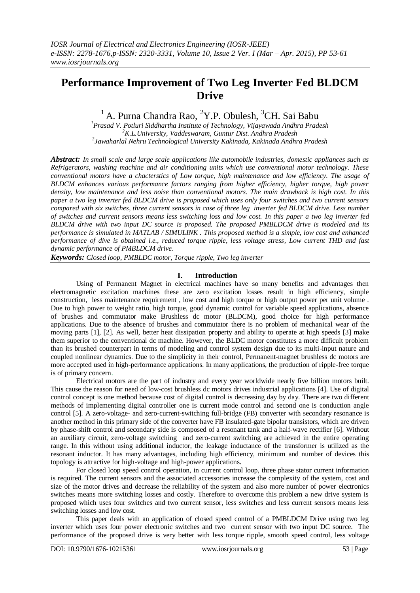# **Performance Improvement of Two Leg Inverter Fed BLDCM Drive**

 $1$  A. Purna Chandra Rao,  $2$ Y.P. Obulesh,  $3$ CH. Sai Babu

*<sup>1</sup>Prasad V. Potluri Siddhartha Institute of Technology, Vijayawada Andhra Pradesh <sup>2</sup>K.L.University, Vaddeswaram, Guntur Dist. Andhra Pradesh 3 Jawaharlal Nehru Technological University Kakinada, Kakinada Andhra Pradesh*

*Abstract: In small scale and large scale applications like automobile industries, domestic appliances such as Refrigerators, washing machine and air conditioning units which use conventional motor technology. These conventional motors have a chacterstics of Low torque, high maintenance and low efficiency. The usage of BLDCM enhances various performance factors ranging from higher efficiency, higher torque, high power density, low maintenance and less noise than conventional motors. The main drawback is high cost. In this paper a two leg inverter fed BLDCM drive is proposed which uses only four switches and two current sensors compared with six switches, three current sensors in case of three leg inverter fed BLDCM drive. Less number of switches and current sensors means less switching loss and low cost. In this paper a two leg inverter fed BLDCM drive with two input DC source is proposed. The proposed PMBLDCM drive is modeled and its performance is simulated in MATLAB / SIMULINK . This proposed method is a simple, low cost and enhanced performance of dive is obtained i.e., reduced torque ripple, less voltage stress, Low current THD and fast dynamic performance of PMBLDCM drive.*

*Keywords: Closed loop, PMBLDC motor, Torque ripple, Two leg inverter*

## **I. Introduction**

Using of Permanent Magnet in electrical machines have so many benefits and advantages then electromagnetic excitation machines these are zero excitation losses result in high efficiency, simple construction, less maintenance requirement , low cost and high torque or high output power per unit volume . Due to high power to weight ratio, high torque, good dynamic control for variable speed applications, absence of brushes and commutator make Brushless dc motor (BLDCM), good choice for high performance applications. Due to the absence of brushes and commutator there is no problem of mechanical wear of the moving parts [1], [2]. As well, better heat dissipation property and ability to operate at high speeds [3] make them superior to the conventional dc machine. However, the BLDC motor constitutes a more difficult problem than its brushed counterpart in terms of modeling and control system design due to its multi-input nature and coupled nonlinear dynamics. Due to the simplicity in their control, Permanent-magnet brushless dc motors are more accepted used in high-performance applications. In many applications, the production of ripple-free torque is of primary concern.

Electrical motors are the part of industry and every year worldwide nearly five billion motors built. This cause the reason for need of low-cost brushless dc motors drives industrial applications [4]. Use of digital control concept is one method because cost of digital control is decreasing day by day. There are two different methods of implementing digital controller one is current mode control and second one is conduction angle control [5]. A zero-voltage- and zero-current-switching full-bridge (FB) converter with secondary resonance is another method in this primary side of the converter have FB insulated-gate bipolar transistors, which are driven by phase-shift control and secondary side is composed of a resonant tank and a half-wave rectifier [6]. Without an auxiliary circuit, zero-voltage switching and zero-current switching are achieved in the entire operating range. In this without using additional inductor, the leakage inductance of the transformer is utilized as the resonant inductor. It has many advantages, including high efficiency, minimum and number of devices this topology is attractive for high-voltage and high-power applications.

For closed loop speed control operation, in current control loop, three phase stator current information is required. The current sensors and the associated accessories increase the complexity of the system, cost and size of the motor drives and decrease the reliability of the system and also more number of power electronics switches means more switching losses and costly. Therefore to overcome this problem a new drive system is proposed which uses four switches and two current sensor, less switches and less current sensors means less switching losses and low cost.

This paper deals with an application of closed speed control of a PMBLDCM Drive using two leg inverter which uses four power electronic switches and two current sensor with two input DC source. The performance of the proposed drive is very better with less torque ripple, smooth speed control, less voltage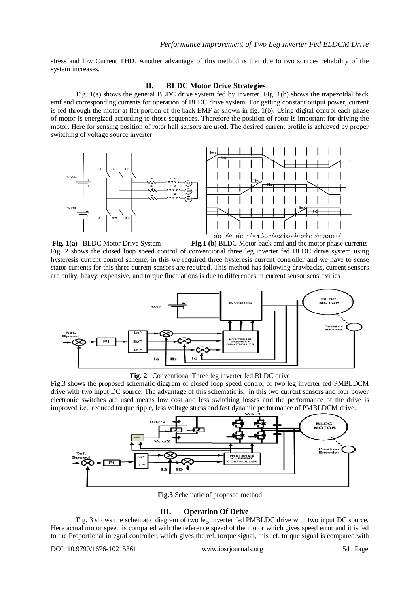stress and low Current THD. Another advantage of this method is that due to two sources reliability of the system increases.

## **II. BLDC Motor Drive Strategies**

Fig. 1(a) shows the general BLDC drive system fed by inverter. Fig. 1(b) shows the trapezoidal back emf and corresponding currents for operation of BLDC drive system. For getting constant output power, current is fed through the motor at flat portion of the back EMF as shown in fig. 1(b). Using digital control each phase of motor is energized according to those sequences. Therefore the position of rotor is important for driving the motor. Here for sensing position of rotor hall sensors are used. The desired current profile is achieved by proper switching of voltage source inverter.



**Fig. 1(a)** BLDC Motor Drive System **Fig.1 (b)** BLDC Motor back emf and the motor phase currents Fig. 2 shows the closed loop speed control of conventional three leg inverter fed BLDC drive system using hysteresis current control scheme, in this we required three hysteresis current controller and we have to sense stator currents for this three current sensors are required. This method has following drawbacks, current sensors are bulky, heavy, expensive, and torque fluctuations is due to differences in current sensor sensitivities.



**Fig. 2** Conventional Three leg inverter fed BLDC drive

Fig.3 shows the proposed schematic diagram of closed loop speed control of two leg inverter fed PMBLDCM drive with two input DC source. The advantage of this schematic is, in this two current sensors and four power electronic switches are used means low cost and less switching losses and the performance of the drive is improved i.e., reduced torque ripple, less voltage stress and fast dynamic performance of PMBLDCM drive.



**Fig.3** Schematic of proposed method

## **III. Operation Of Drive**

Fig. 3 shows the schematic diagram of two leg inverter fed PMBLDC drive with two input DC source. Here actual motor speed is compared with the reference speed of the motor which gives speed error and it is fed to the Proportional integral controller, which gives the ref. torque signal, this ref. torque signal is compared with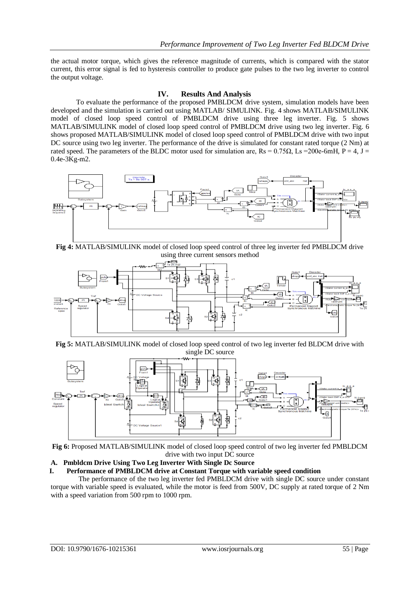the actual motor torque, which gives the reference magnitude of currents, which is compared with the stator current, this error signal is fed to hysteresis controller to produce gate pulses to the two leg inverter to control the output voltage.

## **IV. Results And Analysis**

To evaluate the performance of the proposed PMBLDCM drive system, simulation models have been developed and the simulation is carried out using MATLAB/ SIMULINK. Fig. 4 shows MATLAB/SIMULINK model of closed loop speed control of PMBLDCM drive using three leg inverter. Fig. 5 shows MATLAB/SIMULINK model of closed loop speed control of PMBLDCM drive using two leg inverter. Fig. 6 shows proposed MATLAB/SIMULINK model of closed loop speed control of PMBLDCM drive with two input DC source using two leg inverter. The performance of the drive is simulated for constant rated torque (2 Nm) at rated speed. The parameters of the BLDC motor used for simulation are,  $Rs = 0.75\Omega$ , Ls =200e-6mH, P = 4, J = 0.4e-3Kg-m2.



**Fig 4:** MATLAB/SIMULINK model of closed loop speed control of three leg inverter fed PMBLDCM drive using three current sensors method



**Fig 5:** MATLAB/SIMULINK model of closed loop speed control of two leg inverter fed BLDCM drive with single DC source



**Fig 6:** Proposed MATLAB/SIMULINK model of closed loop speed control of two leg inverter fed PMBLDCM drive with two input DC source

## **A. Pmbldcm Drive Using Two Leg Inverter With Single Dc Source**

## **I. Performance of PMBLDCM drive at Constant Torque with variable speed condition**

The performance of the two leg inverter fed PMBLDCM drive with single DC source under constant torque with variable speed is evaluated, while the motor is feed from 500V, DC supply at rated torque of 2 Nm with a speed variation from 500 rpm to 1000 rpm.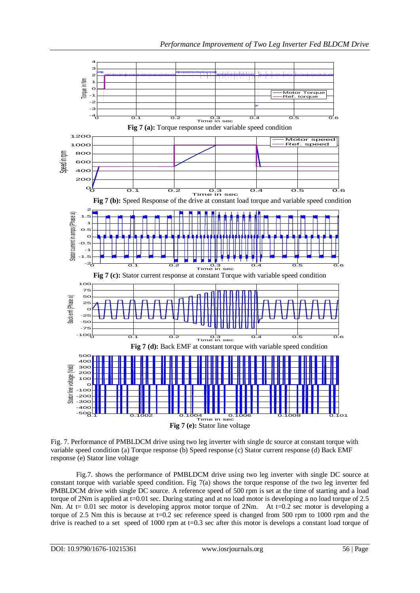

Fig. 7. Performance of PMBLDCM drive using two leg inverter with single dc source at constant torque with variable speed condition (a) Torque response (b) Speed response (c) Stator current response (d) Back EMF response (e) Stator line voltage

Fig.7. shows the performance of PMBLDCM drive using two leg inverter with single DC source at constant torque with variable speed condition. Fig  $7(a)$  shows the torque response of the two leg inverter fed PMBLDCM drive with single DC source. A reference speed of 500 rpm is set at the time of starting and a load torque of 2Nm is applied at t=0.01 sec. During stating and at no load motor is developing a no load torque of 2.5 Nm. At t= 0.01 sec motor is developing approx motor torque of 2Nm. At t=0.2 sec motor is developing a torque of 2.5 Nm this is because at  $t=0.2$  sec reference speed is changed from 500 rpm to 1000 rpm and the drive is reached to a set speed of 1000 rpm at t=0.3 sec after this motor is develops a constant load torque of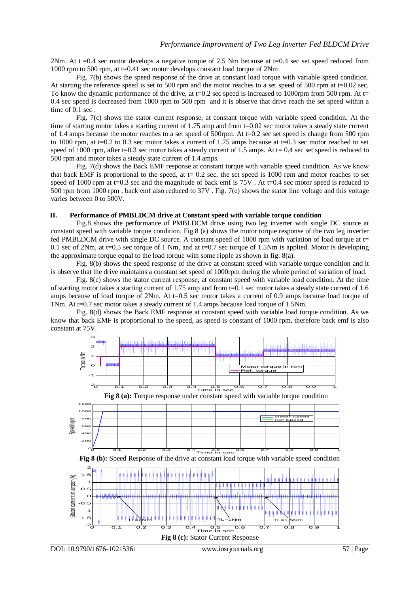2Nm. At  $t = 0.4$  sec motor develops a negative torque of 2.5 Nm because at  $t = 0.4$  sec set speed reduced from 1000 rpm to 500 rpm, at t=0.41 sec motor develops constant load torque of 2Nm

Fig. 7(b) shows the speed response of the drive at constant load torque with variable speed condition. At starting the reference speed is set to 500 rpm and the motor reaches to a set speed of 500 rpm at t=0.02 sec. To know the dynamic performance of the drive, at t=0.2 sec speed is increased to 1000rpm from 500 rpm. At t= 0.4 sec speed is decreased from 1000 rpm to 500 rpm and it is observe that drive reach the set speed within a time of 0.1 sec .

Fig. 7(c) shows the stator current response, at constant torque with variable speed condition. At the time of starting motor takes a starting current of 1.75 amp and from t=0.02 sec motor takes a steady state current of 1.4 amps because the motor reaches to a set speed of 500rpm. At t=0.2 sec set speed is change from 500 rpm to 1000 rpm, at t=0.2 to 0.3 sec motor takes a current of 1.75 amps because at t=0.3 sec motor reached to set speed of 1000 rpm, after t=0.3 sec motor takes a steady current of 1.5 amps. At  $t=0.4$  sec set speed is reduced to 500 rpm and motor takes a steady state current of 1.4 amps.

Fig. 7(d) shows the Back EMF response at constant torque with variable speed condition. As we know that back EMF is proportional to the speed, at  $t = 0.2$  sec, the set speed is 1000 rpm and motor reaches to set speed of 1000 rpm at  $t=0.3$  sec and the magnitude of back emf is 75V. At  $t=0.4$  sec motor speed is reduced to 500 rpm from 1000 rpm , back emf also reduced to 37V . Fig. 7(e) shows the stator line voltage and this voltage varies between 0 to 500V.

#### **II. Performance of PMBLDCM drive at Constant speed with variable torque condition**

Fig.8 shows the performance of PMBLDCM drive using two leg inverter with single DC source at constant speed with variable torque condition. Fig.8 (a) shows the motor torque response of the two leg inverter fed PMBLDCM drive with single DC source. A constant speed of 1000 rpm with variation of load torque at t= 0.1 sec of 2Nm, at t=0.5 sec torque of 1 Nm, and at t=0.7 sec torque of 1.5Nm is applied. Motor is developing the approximate torque equal to the load torque with some ripple as shown in fig. 8(a).

Fig. 8(b) shows the speed response of the drive at constant speed with variable torque condition and it is observe that the drive maintains a constant set speed of 1000rpm during the whole period of variation of load.

Fig. 8(c) shows the stator current response, at constant speed with variable load condition. At the time of starting motor takes a starting current of 1.75 amp and from t=0.1 sec motor takes a steady state current of 1.6 amps because of load torque of 2Nm. At t=0.5 sec motor takes a current of 0.9 amps because load torque of 1Nm. At t=0.7 sec motor takes a steady current of 1.4 amps because load torque of 1.5Nm.

Fig. 8(d) shows the Back EMF response at constant speed with variable load torque condition. As we know that back EMF is proportional to the speed, as speed is constant of 1000 rpm, therefore back emf is also constant at 75V.

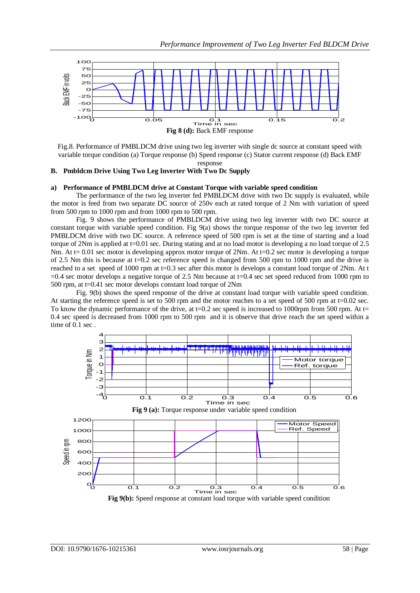

Fig.8. Performance of PMBLDCM drive using two leg inverter with single dc source at constant speed with variable torque condition (a) Torque response (b) Speed response (c) Stator current response (d) Back EMF response

#### **B. Pmbldcm Drive Using Two Leg Inverter With Two Dc Supply**

#### **a) Performance of PMBLDCM drive at Constant Torque with variable speed condition**

The performance of the two leg inverter fed PMBLDCM drive with two Dc supply is evaluated, while the motor is feed from two separate DC source of 250v each at rated torque of 2 Nm with variation of speed from 500 rpm to 1000 rpm and from 1000 rpm to 500 rpm.

Fig. 9 shows the performance of PMBLDCM drive using two leg inverter with two DC source at constant torque with variable speed condition. Fig 9(a) shows the torque response of the two leg inverter fed PMBLDCM drive with two DC source. A reference speed of 500 rpm is set at the time of starting and a load torque of 2Nm is applied at t=0.01 sec. During stating and at no load motor is developing a no load torque of 2.5 Nm. At t= 0.01 sec motor is developing approx motor torque of  $2Nm$ . At t=0.2 sec motor is developing a torque of 2.5 Nm this is because at  $t=0.2$  sec reference speed is changed from 500 rpm to 1000 rpm and the drive is reached to a set speed of 1000 rpm at  $t=0.3$  sec after this motor is develops a constant load torque of 2Nm. At t  $=0.4$  sec motor develops a negative torque of 2.5 Nm because at t=0.4 sec set speed reduced from 1000 rpm to 500 rpm, at t=0.41 sec motor develops constant load torque of 2Nm

Fig. 9(b) shows the speed response of the drive at constant load torque with variable speed condition. At starting the reference speed is set to 500 rpm and the motor reaches to a set speed of 500 rpm at t=0.02 sec. To know the dynamic performance of the drive, at t=0.2 sec speed is increased to 1000rpm from 500 rpm. At t= 0.4 sec speed is decreased from 1000 rpm to 500 rpm and it is observe that drive reach the set speed within a time of 0.1 sec .

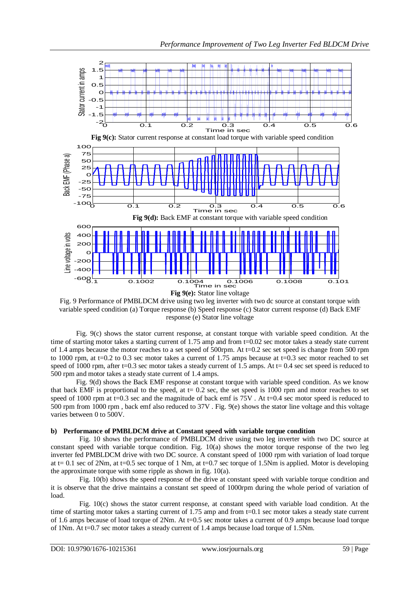

Fig. 9 Performance of PMBLDCM drive using two leg inverter with two dc source at constant torque with variable speed condition (a) Torque response (b) Speed response (c) Stator current response (d) Back EMF response (e) Stator line voltage

Fig. 9(c) shows the stator current response, at constant torque with variable speed condition. At the time of starting motor takes a starting current of 1.75 amp and from t=0.02 sec motor takes a steady state current of 1.4 amps because the motor reaches to a set speed of 500rpm. At t=0.2 sec set speed is change from 500 rpm to 1000 rpm, at t=0.2 to 0.3 sec motor takes a current of 1.75 amps because at t=0.3 sec motor reached to set speed of 1000 rpm, after t=0.3 sec motor takes a steady current of 1.5 amps. At t= 0.4 sec set speed is reduced to 500 rpm and motor takes a steady state current of 1.4 amps.

Fig. 9(d) shows the Back EMF response at constant torque with variable speed condition. As we know that back EMF is proportional to the speed, at  $t = 0.2$  sec, the set speed is 1000 rpm and motor reaches to set speed of 1000 rpm at  $t=0.3$  sec and the magnitude of back emf is 75V. At  $t=0.4$  sec motor speed is reduced to 500 rpm from 1000 rpm , back emf also reduced to 37V . Fig. 9(e) shows the stator line voltage and this voltage varies between 0 to 500V.

#### **b) Performance of PMBLDCM drive at Constant speed with variable torque condition**

Fig. 10 shows the performance of PMBLDCM drive using two leg inverter with two DC source at constant speed with variable torque condition. Fig. 10(a) shows the motor torque response of the two leg inverter fed PMBLDCM drive with two DC source. A constant speed of 1000 rpm with variation of load torque at  $t=0.1$  sec of 2Nm, at  $t=0.5$  sec torque of 1 Nm, at  $t=0.7$  sec torque of 1.5Nm is applied. Motor is developing the approximate torque with some ripple as shown in fig. 10(a).

Fig. 10(b) shows the speed response of the drive at constant speed with variable torque condition and it is observe that the drive maintains a constant set speed of 1000rpm during the whole period of variation of load.

Fig. 10(c) shows the stator current response, at constant speed with variable load condition. At the time of starting motor takes a starting current of 1.75 amp and from t=0.1 sec motor takes a steady state current of 1.6 amps because of load torque of 2Nm. At t=0.5 sec motor takes a current of 0.9 amps because load torque of 1Nm. At t=0.7 sec motor takes a steady current of 1.4 amps because load torque of 1.5Nm.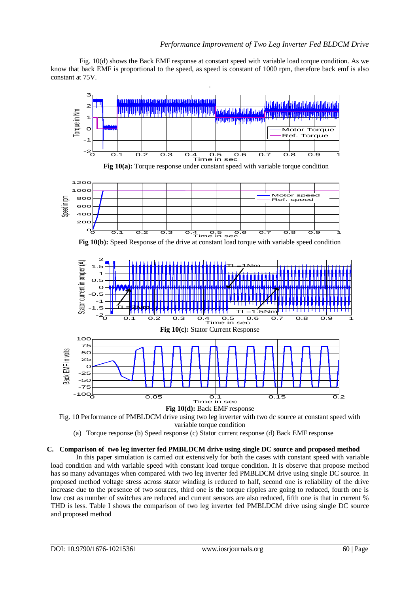Fig. 10(d) shows the Back EMF response at constant speed with variable load torque condition. As we know that back EMF is proportional to the speed, as speed is constant of 1000 rpm, therefore back emf is also constant at 75V.

.





<sup>(</sup>a) Torque response (b) Speed response (c) Stator current response (d) Back EMF response

## **C. Comparison of two leg inverter fed PMBLDCM drive using single DC source and proposed method**

In this paper simulation is carried out extensively for both the cases with constant speed with variable load condition and with variable speed with constant load torque condition. It is observe that propose method has so many advantages when compared with two leg inverter fed PMBLDCM drive using single DC source. In proposed method voltage stress across stator winding is reduced to half, second one is reliability of the drive increase due to the presence of two sources, third one is the torque ripples are going to reduced, fourth one is low cost as number of switches are reduced and current sensors are also reduced, fifth one is that in current % THD is less. Table I shows the comparison of two leg inverter fed PMBLDCM drive using single DC source and proposed method